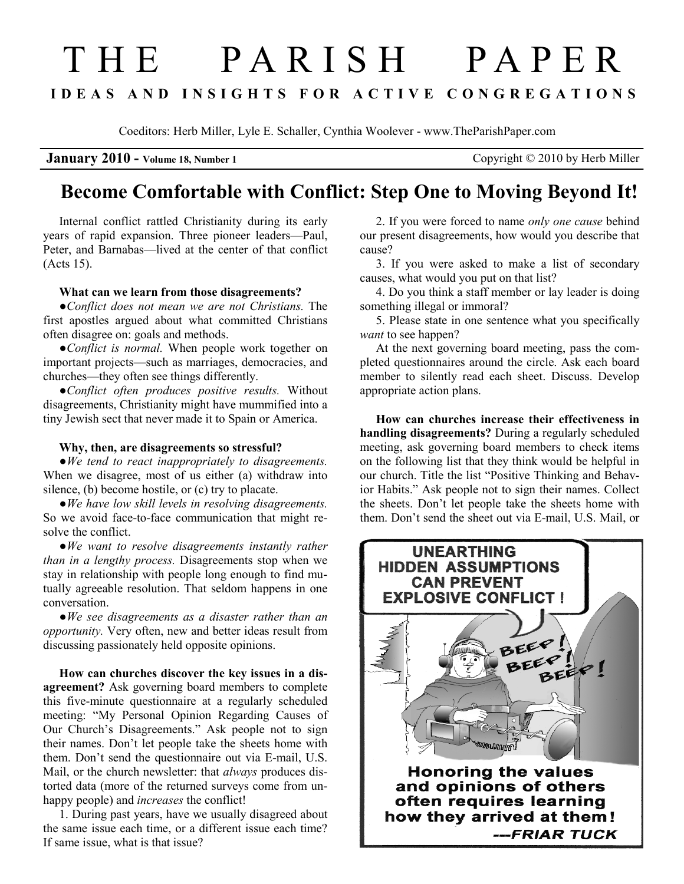## THE PARISH PAPER I D E A S A N D I N S I G H T S F O R A C T I V E C O N G R E G A T I O N S

Coeditors: Herb Miller, Lyle E. Schaller, Cynthia Woolever - www.TheParishPaper.com

**January 2010 - Volume 18, Number 1** Copyright © 2010 by Herb Miller

## Become Comfortable with Conflict: Step One to Moving Beyond It!

Internal conflict rattled Christianity during its early years of rapid expansion. Three pioneer leaders—Paul, Peter, and Barnabas—lived at the center of that conflict (Acts 15).

## What can we learn from those disagreements?

●Conflict does not mean we are not Christians. The first apostles argued about what committed Christians often disagree on: goals and methods.

●Conflict is normal. When people work together on important projects—such as marriages, democracies, and churches—they often see things differently.

●Conflict often produces positive results. Without disagreements, Christianity might have mummified into a tiny Jewish sect that never made it to Spain or America.

## Why, then, are disagreements so stressful?

●We tend to react inappropriately to disagreements. When we disagree, most of us either (a) withdraw into silence, (b) become hostile, or (c) try to placate.

●We have low skill levels in resolving disagreements. So we avoid face-to-face communication that might resolve the conflict.

●We want to resolve disagreements instantly rather than in a lengthy process. Disagreements stop when we stay in relationship with people long enough to find mutually agreeable resolution. That seldom happens in one conversation.

 $\bullet$  We see disagreements as a disaster rather than an opportunity. Very often, new and better ideas result from discussing passionately held opposite opinions.

How can churches discover the key issues in a disagreement? Ask governing board members to complete this five-minute questionnaire at a regularly scheduled meeting: "My Personal Opinion Regarding Causes of Our Church's Disagreements." Ask people not to sign their names. Don't let people take the sheets home with them. Don't send the questionnaire out via E-mail, U.S. Mail, or the church newsletter: that *always* produces distorted data (more of the returned surveys come from unhappy people) and *increases* the conflict!

1. During past years, have we usually disagreed about the same issue each time, or a different issue each time? If same issue, what is that issue?

2. If you were forced to name only one cause behind our present disagreements, how would you describe that cause?

3. If you were asked to make a list of secondary causes, what would you put on that list?

4. Do you think a staff member or lay leader is doing something illegal or immoral?

5. Please state in one sentence what you specifically want to see happen?

At the next governing board meeting, pass the completed questionnaires around the circle. Ask each board member to silently read each sheet. Discuss. Develop appropriate action plans.

How can churches increase their effectiveness in handling disagreements? During a regularly scheduled meeting, ask governing board members to check items on the following list that they think would be helpful in our church. Title the list "Positive Thinking and Behavior Habits." Ask people not to sign their names. Collect the sheets. Don't let people take the sheets home with them. Don't send the sheet out via E-mail, U.S. Mail, or